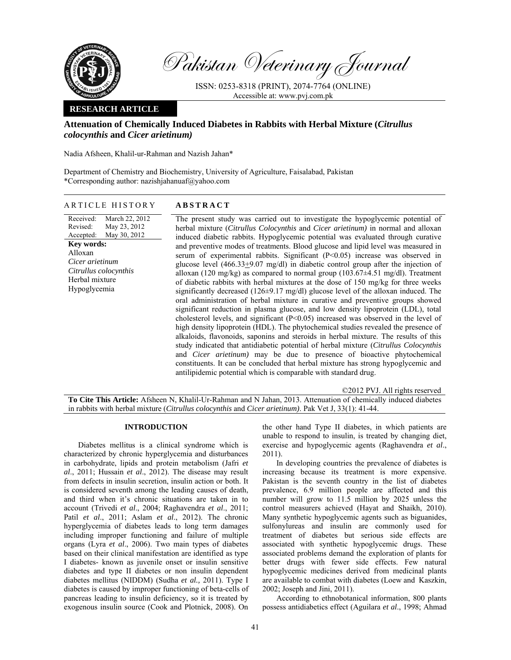

Pakistan Veterinary Journal

ISSN: 0253-8318 (PRINT), 2074-7764 (ONLINE) Accessible at: www.pvj.com.pk

# **RESEARCH ARTICLE**

# **Attenuation of Chemically Induced Diabetes in Rabbits with Herbal Mixture (***Citrullus colocynthis* **and** *Cicer arietinum)*

Nadia Afsheen, Khalil-ur-Rahman and Nazish Jahan\*

Department of Chemistry and Biochemistry, University of Agriculture, Faisalabad, Pakistan \*Corresponding author: nazishjahanuaf@yahoo.com

|  |  | ARTICLE HISTORY |
|--|--|-----------------|
|--|--|-----------------|

Received: Revised: Accepted: March 22, 2012 May 23, 2012 May 30, 2012 **Key words:**  Alloxan *Cicer arietinum Citrullus colocynthis*  Herbal mixture Hypoglycemia

**ABSTRACT** 

The present study was carried out to investigate the hypoglycemic potential of herbal mixture (*Citrullus Colocynthis* and *Cicer arietinum)* in normal and alloxan induced diabetic rabbits. Hypoglycemic potential was evaluated through curative and preventive modes of treatments. Blood glucose and lipid level was measured in serum of experimental rabbits. Significant (P<0.05) increase was observed in glucose level (466.33 $\pm$ 9.07 mg/dl) in diabetic control group after the injection of alloxan (120 mg/kg) as compared to normal group (103.67±4.51 mg/dl). Treatment of diabetic rabbits with herbal mixtures at the dose of 150 mg/kg for three weeks significantly decreased (126±9.17 mg/dl) glucose level of the alloxan induced. The oral administration of herbal mixture in curative and preventive groups showed significant reduction in plasma glucose, and low density lipoprotein (LDL), total cholesterol levels, and significant (P<0.05) increased was observed in the level of high density lipoprotein (HDL). The phytochemical studies revealed the presence of alkaloids, flavonoids, saponins and steroids in herbal mixture. The results of this study indicated that antidiabetic potential of herbal mixture (*Citrullus Colocynthis*  and *Cicer arietinum)* may be due to presence of bioactive phytochemical constituents. It can be concluded that herbal mixture has strong hypoglycemic and antilipidemic potential which is comparable with standard drug.

©2012 PVJ. All rights reserved **To Cite This Article:** Afsheen N, Khalil-Ur-Rahman and N Jahan, 2013. Attenuation of chemically induced diabetes in rabbits with herbal mixture (*Citrullus colocynthis* and *Cicer arietinum)*. Pak Vet J, 33(1): 41-44.

## **INTRODUCTION**

Diabetes mellitus is a clinical syndrome which is characterized by chronic hyperglycemia and disturbances in carbohydrate, lipids and protein metabolism (Jafri *et al*., 2011; Hussain *et al*., 2012). The disease may result from defects in insulin secretion, insulin action or both. It is considered seventh among the leading causes of death, and third when it's chronic situations are taken in to account (Trivedi *et al*., 2004; Raghavendra *et al*., 2011; Patil *et al*., 2011; Aslam *et al*., 2012). The chronic hyperglycemia of diabetes leads to long term damages including improper functioning and failure of multiple organs (Lyra *et al*., 2006). Two main types of diabetes based on their clinical manifestation are identified as type I diabetes- known as juvenile onset or insulin sensitive diabetes and type II diabetes or non insulin dependent diabetes mellitus (NIDDM) (Sudha *et al.,* 2011). Type I diabetes is caused by improper functioning of beta-cells of pancreas leading to insulin deficiency, so it is treated by exogenous insulin source (Cook and Plotnick, 2008). On

the other hand Type II diabetes, in which patients are unable to respond to insulin, is treated by changing diet, exercise and hypoglycemic agents (Raghavendra *et al*., 2011).

In developing countries the prevalence of diabetes is increasing because its treatment is more expensive. Pakistan is the seventh country in the list of diabetes prevalence, 6.9 million people are affected and this number will grow to 11.5 million by 2025 unless the control measurers achieved (Hayat and Shaikh, 2010). Many synthetic hypoglycemic agents such as biguanides, sulfonylureas and insulin are commonly used for treatment of diabetes but serious side effects are associated with synthetic hypoglycemic drugs. These associated problems demand the exploration of plants for better drugs with fewer side effects. Few natural hypoglycemic medicines derived from medicinal plants are available to combat with diabetes (Loew and Kaszkin, 2002; Joseph and Jini, 2011).

According to ethnobotanical information, 800 plants possess antidiabetics effect (Aguilara *et al*., 1998; Ahmad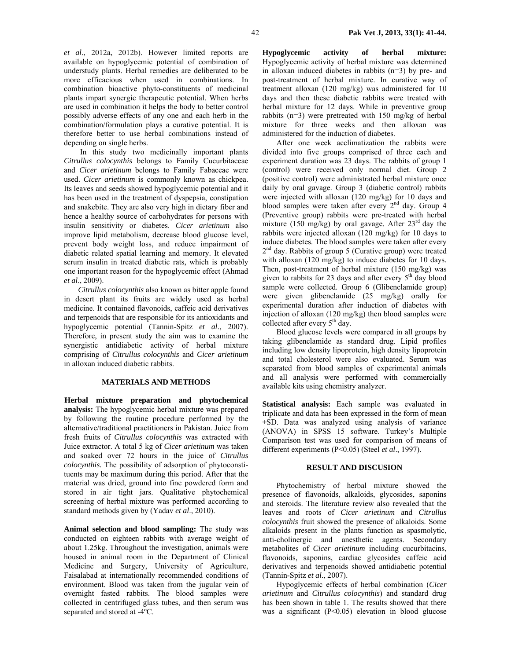*et al*., 2012a, 2012b). However limited reports are available on hypoglycemic potential of combination of understudy plants. Herbal remedies are deliberated to be more efficacious when used in combinations. In combination bioactive phyto-constituents of medicinal plants impart synergic therapeutic potential. When herbs are used in combination it helps the body to better control possibly adverse effects of any one and each herb in the combination/formulation plays a curative potential. It is therefore better to use herbal combinations instead of depending on single herbs.

 In this study two medicinally important plants *Citrullus colocynthis* belongs to Family Cucurbitaceae and *Cicer arietinum* belongs to Family Fabaceae were used. *Cicer arietinum* is commonly known as chickpea. Its leaves and seeds showed hypoglycemic potential and it has been used in the treatment of dyspepsia, constipation and snakebite. They are also very high in dietary fiber and hence a healthy source of carbohydrates for persons with insulin sensitivity or diabetes. *Cicer arietinum* also improve lipid metabolism, decrease blood glucose level, prevent body weight loss, and reduce impairment of diabetic related spatial learning and memory. It elevated serum insulin in treated diabetic rats, which is probably one important reason for the hypoglycemic effect (Ahmad *et al*., 2009).

*Citrullus colocynthis* also known as bitter apple found in desert plant its fruits are widely used as herbal medicine. It contained flavonoids, caffeic acid derivatives and terpenoids that are responsible for its antioxidants and hypoglycemic potential (Tannin-Spitz *et al*., 2007). Therefore, in present study the aim was to examine the synergistic antidiabetic activity of herbal mixture comprising of *Citrullus colocynthis* and *Cicer arietinum* in alloxan induced diabetic rabbits.

### **MATERIALS AND METHODS**

**Herbal mixture preparation and phytochemical analysis:** The hypoglycemic herbal mixture was prepared by following the routine procedure performed by the alternative/traditional practitioners in Pakistan. Juice from fresh fruits of *Citrullus colocynthis* was extracted with Juice extractor. A total 5 kg of *Cicer arietinum* was taken and soaked over 72 hours in the juice of *Citrullus colocynthis.* The possibility of adsorption of phytoconstituents may be maximum during this period. After that the material was dried, ground into fine powdered form and stored in air tight jars. Qualitative phytochemical screening of herbal mixture was performed according to standard methods given by (Yadav *et al*., 2010).

**Animal selection and blood sampling:** The study was conducted on eighteen rabbits with average weight of about 1.25kg. Throughout the investigation, animals were housed in animal room in the Department of Clinical Medicine and Surgery, University of Agriculture, Faisalabad at internationally recommended conditions of environment. Blood was taken from the jugular vein of overnight fasted rabbits. The blood samples were collected in centrifuged glass tubes, and then serum was separated and stored at -4ºC.

**Hypoglycemic activity of herbal mixture:**  Hypoglycemic activity of herbal mixture was determined in alloxan induced diabetes in rabbits (n=3) by pre- and post-treatment of herbal mixture. In curative way of treatment alloxan (120 mg/kg) was administered for 10 days and then these diabetic rabbits were treated with herbal mixture for 12 days. While in preventive group rabbits (n=3) were pretreated with 150 mg/kg of herbal mixture for three weeks and then alloxan was administered for the induction of diabetes.

After one week acclimatization the rabbits were divided into five groups comprised of three each and experiment duration was 23 days. The rabbits of group 1 (control) were received only normal diet. Group 2 (positive control) were administrated herbal mixture once daily by oral gavage. Group 3 (diabetic control) rabbits were injected with alloxan (120 mg/kg) for 10 days and blood samples were taken after every 2nd day. Group 4 (Preventive group) rabbits were pre-treated with herbal mixture (150 mg/kg) by oral gavage. After  $23<sup>rd</sup>$  day the rabbits were injected alloxan (120 mg/kg) for 10 days to induce diabetes. The blood samples were taken after every  $2<sup>nd</sup>$  day. Rabbits of group 5 (Curative group) were treated with alloxan (120 mg/kg) to induce diabetes for 10 days. Then, post-treatment of herbal mixture (150 mg/kg) was given to rabbits for 23 days and after every  $5<sup>th</sup>$  day blood sample were collected. Group 6 (Glibenclamide group) were given glibenclamide (25 mg/kg) orally for experimental duration after induction of diabetes with injection of alloxan (120 mg/kg) then blood samples were collected after every  $5<sup>th</sup>$  day.

Blood glucose levels were compared in all groups by taking glibenclamide as standard drug. Lipid profiles including low density lipoprotein, high density lipoprotein and total cholesterol were also evaluated. Serum was separated from blood samples of experimental animals and all analysis were performed with commercially available kits using chemistry analyzer.

**Statistical analysis:** Each sample was evaluated in triplicate and data has been expressed in the form of mean  $\pm$ SD. Data was analyzed using analysis of variance (ANOVA) in SPSS 15 software. Turkey's Multiple Comparison test was used for comparison of means of different experiments (P<0.05) (Steel *et al*., 1997).

#### **RESULT AND DISCUSION**

Phytochemistry of herbal mixture showed the presence of flavonoids, alkaloids, glycosides, saponins and steroids. The literature review also revealed that the leaves and roots of *Cicer arietinum* and *Citrullus colocynthis* fruit showed the presence of alkaloids. Some alkaloids present in the plants function as spasmolytic, anti-cholinergic and anesthetic agents. Secondary metabolites of *Cicer arietinum* including cucurbitacins, flavonoids, saponins, cardiac glycosides caffeic acid derivatives and terpenoids showed antidiabetic potential (Tannin-Spitz *et al*., 2007).

Hypoglycemic effects of herbal combination (*Cicer arietinum* and *Citrullus colocynthis*) and standard drug has been shown in table 1. The results showed that there was a significant (P<0.05) elevation in blood glucose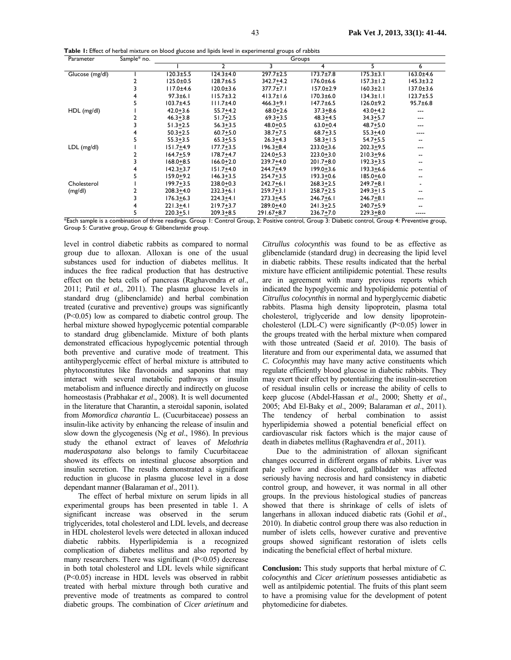**Table 1:** Effect of herbal mixture on blood glucose and lipids level in experimental groups of rabbits

| Parameter       | Sample* no. | Groups          |                 |                 |                 |                 |                 |  |
|-----------------|-------------|-----------------|-----------------|-----------------|-----------------|-----------------|-----------------|--|
|                 |             |                 | 2               | 3               | 4               | 5               | 6               |  |
| Glucose (mg/dl) |             | $120.3 \pm 5.5$ | $124.3 \pm 4.0$ | $297.7 \pm 2.5$ | $173.7 \pm 7.8$ | $175.3 \pm 3.1$ | $163.0 + 4.6$   |  |
|                 |             | $125.0 \pm 0.5$ | $128.7 \pm 6.5$ | $342.7 + 4.2$   | $176.0 \pm 6.6$ | $157.3 \pm 1.2$ | $145.3 \pm 3.2$ |  |
|                 |             | $117.0 + 4.6$   | $120.0 \pm 3.6$ | 377.7±7.1       | $157.0 \pm 2.9$ | $160.3 \pm 2.1$ | 137.0±3.6       |  |
|                 |             | $97.3 \pm 6.1$  | $115.7 \pm 3.2$ | $413.7 \pm 1.6$ | $170.3 \pm 6.0$ | $134.3 \pm 1.1$ | $123.7 + 5.5$   |  |
|                 |             | $103.7{\pm}4.5$ | $111.7 + 4.0$   | $466.3 + 9.1$   | $147.7 \pm 6.5$ | $126.0 + 9.2$   | $95.7 \pm 6.8$  |  |
| $HDL$ (mg/dl)   |             | $42.0 + 3.6$    | $55.7 + 4.2$    | $68.0 + 2.6$    | $37.3 + 8.6$    | $43.0 + 4.2$    | ---             |  |
|                 |             | $46.3 + 3.8$    | $51.7 + 2.5$    | $69.3 + 3.5$    | $48.3 + 4.5$    | $34.3 + 5.7$    | ---             |  |
|                 |             | $51.3 + 2.5$    | $56.3 + 3.5$    | $48.0 + 0.5$    | $63.0 + 0.4$    | $48.7 + 5.0$    | ---             |  |
|                 |             | $50.3 + 2.5$    | $60.7 + 5.0$    | $38.7 + 7.5$    | $68.7 + 3.5$    | $55.3 + 4.0$    | ----            |  |
|                 |             | $55.3 + 3.5$    | $65.3 + 5.5$    | $26.3 + 4.3$    | $58.3 + 1.5$    | $54.7 + 5.5$    | $- -$           |  |
| $LDL$ (mg/dl)   |             | $151.7 + 4.9$   | $177.7 + 3.5$   | $196.3 + 8.4$   | $233.0 + 3.6$   | $202.3 + 9.5$   | ---             |  |
|                 |             | $164.7 + 5.9$   | $178.7 + 4.7$   | $224.0 + 5.3$   | $223.0 + 3.0$   | $210.3 + 9.6$   |                 |  |
|                 |             | $168.0 + 8.5$   | $166.0 + 2.0$   | $239.7 + 4.0$   | $201.7 + 8.0$   | $192.3 + 3.5$   | $- -$           |  |
|                 |             | $142.3 + 3.7$   | $151.7 + 4.0$   | 244.7+4.9       | $199.0 + 3.6$   | $193.3 + 6.6$   | $- -$           |  |
|                 |             | $159.0 + 9.2$   | $146.3 + 3.5$   | $254.7 + 3.5$   | $193.3 + 0.6$   | $185.0 + 6.0$   |                 |  |
| Cholesterol     |             | $199.7 + 3.5$   | $238.0 + 0.3$   | $242.7 + 6.1$   | $268.3 + 2.5$   | $249.7 + 8.1$   |                 |  |
| (mg/dl)         |             | $208.3 + 4.0$   | $232.3 + 6.1$   | $259.7 + 3.1$   | $258.7 + 2.5$   | $249.3 + 1.5$   | $- -$           |  |
|                 |             | $176.3 + 6.3$   | $224.3 + 4.1$   | $273.3 + 4.5$   | $246.7 + 6.1$   | $246.7 + 8.1$   | ---             |  |
|                 |             | $221.3 + 4.1$   | $219.7 + 3.7$   | $289.0 + 4.0$   | $241.3 + 2.5$   | $240.7 + 5.9$   |                 |  |
|                 |             | $220.3 + 5.1$   | $209.3 + 8.5$   | $291.67 + 8.7$  | $236.7 + 7.0$   | $229.3 + 8.0$   | -----           |  |

\*Each sample is a combination of three readings. Group 1: Control Group, 2: Positive control, Group 3: Diabetic control, Group 4: Preventive group, Group 5: Curative group, Group 6: Glibenclamide group.

level in control diabetic rabbits as compared to normal group due to alloxan. Alloxan is one of the usual substances used for induction of diabetes mellitus. It induces the free radical production that has destructive effect on the beta cells of pancreas (Raghavendra *et al*., 2011; Patil *et al*., 2011). The plasma glucose levels in standard drug (glibenclamide) and herbal combination treated (curative and preventive) groups was significantly (P<0.05) low as compared to diabetic control group. The herbal mixture showed hypoglycemic potential comparable to standard drug glibenclamide. Mixture of both plants demonstrated efficacious hypoglycemic potential through both preventive and curative mode of treatment. This antihyperglycemic effect of herbal mixture is attributed to phytoconstitutes like flavonoids and saponins that may interact with several metabolic pathways or insulin metabolism and influence directly and indirectly on glucose homeostasis (Prabhakar *et al*., 2008). It is well documented in the literature that Charantin, a steroidal saponin, isolated from *Momordica charantia* L. (Cucurbitaceae) possess an insulin-like activity by enhancing the release of insulin and slow down the glycogenesis (Ng *et al*., 1986). In previous study the ethanol extract of leaves of *Melothria maderaspatana* also belongs to family Cucurbitaceae showed its effects on intestinal glucose absorption and insulin secretion. The results demonstrated a significant reduction in glucose in plasma glucose level in a dose dependant manner (Balaraman *et al*., 2011).

The effect of herbal mixture on serum lipids in all experimental groups has been presented in table 1. A significant increase was observed in the serum triglycerides, total cholesterol and LDL levels, and decrease in HDL cholesterol levels were detected in alloxan induced diabetic rabbits. Hyperlipidemia is a recognized complication of diabetes mellitus and also reported by many researchers. There was significant (P<0.05) decrease in both total cholesterol and LDL levels while significant (P<0.05) increase in HDL levels was observed in rabbit treated with herbal mixture through both curative and preventive mode of treatments as compared to control diabetic groups. The combination of *Cicer arietinum* and

*Citrullus colocynthis* was found to be as effective as glibenclamide (standard drug) in decreasing the lipid level in diabetic rabbits. These results indicated that the herbal mixture have efficient antilipidemic potential. These results are in agreement with many previous reports which indicated the hypoglycemic and hypolipidemic potential of *Citrullus colocynthis* in normal and hyperglycemic diabetic rabbits. Plasma high density lipoprotein, plasma total cholesterol, triglyceride and low density lipoproteincholesterol (LDL-C) were significantly (P<0.05) lower in the groups treated with the herbal mixture when compared with those untreated (Saeid *et al.* 2010). The basis of literature and from our experimental data, we assumed that *C. Colocynthis* may have many active constituents which regulate efficiently blood glucose in diabetic rabbits. They may exert their effect by potentializing the insulin-secretion of residual insulin cells or increase the ability of cells to keep glucose (Abdel-Hassan *et al*., 2000; Shetty *et al*., 2005; Abd El-Baky et *al*., 2009; Balaraman *et al*., 2011). The tendency of herbal combination to assist hyperlipidemia showed a potential beneficial effect on cardiovascular risk factors which is the major cause of death in diabetes mellitus (Raghavendra *et al*., 2011).

Due to the administration of alloxan significant changes occurred in different organs of rabbits. Liver was pale yellow and discolored, gallbladder was affected seriously having necrosis and hard consistency in diabetic control group, and however, it was normal in all other groups. In the previous histological studies of pancreas showed that there is shrinkage of cells of islets of langerhans in alloxan induced diabetic rats (Gohil *et al*., 2010). In diabetic control group there was also reduction in number of islets cells, however curative and preventive groups showed significant restoration of islets cells indicating the beneficial effect of herbal mixture.

**Conclusion:** This study supports that herbal mixture of *C. colocynthis* and *Cicer arietinum* possesses antidiabetic as well as antilpidemic potential. The fruits of this plant seem to have a promising value for the development of potent phytomedicine for diabetes.